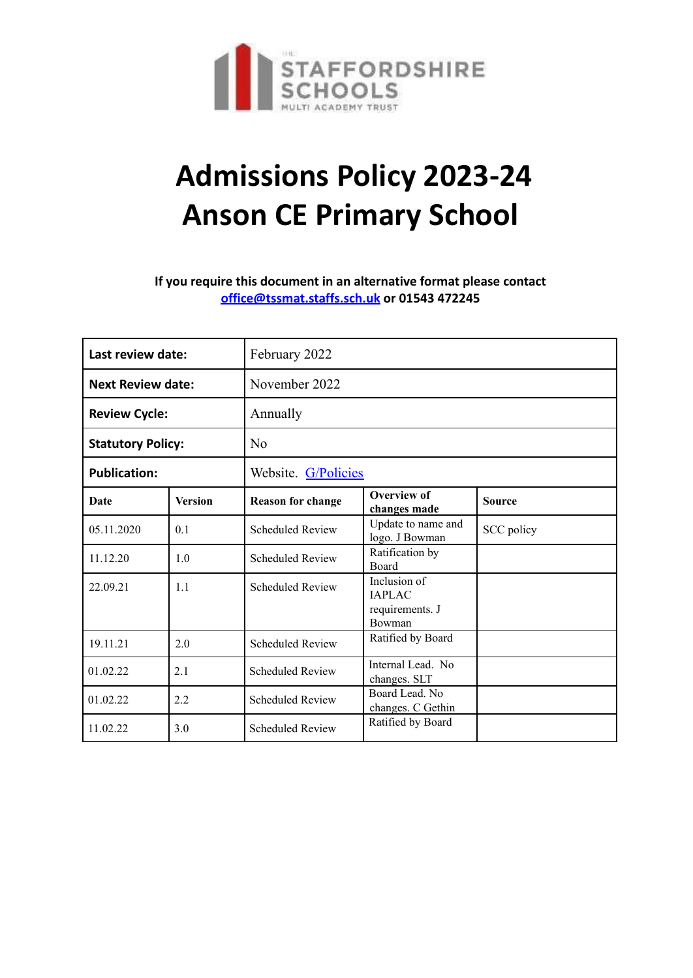

# **Admissions Policy 2023-24 Anson CE Primary School**

**If you require this document in an alternative format please contact office@tssmat.staffs.sch.uk or 01543 472245**

| Last review date:        |                | February 2022            |                                                  |               |  |
|--------------------------|----------------|--------------------------|--------------------------------------------------|---------------|--|
| <b>Next Review date:</b> |                | November 2022            |                                                  |               |  |
| <b>Review Cycle:</b>     |                | Annually                 |                                                  |               |  |
| <b>Statutory Policy:</b> |                | N <sub>0</sub>           |                                                  |               |  |
| <b>Publication:</b>      |                | Website. G/Policies      |                                                  |               |  |
| Date                     | <b>Version</b> | <b>Reason for change</b> | <b>Overview of</b><br>changes made               | <b>Source</b> |  |
| 05.11.2020               | 0.1            | <b>Scheduled Review</b>  | Update to name and<br>logo. J Bowman             | SCC policy    |  |
| 11.12.20                 | 1.0            | <b>Scheduled Review</b>  | Ratification by<br>Board                         |               |  |
| 22.09.21                 | 1.1            | <b>Scheduled Review</b>  | Inclusion of<br><b>IAPLAC</b><br>requirements. J |               |  |
|                          |                |                          | Bowman                                           |               |  |
| 19.11.21                 | 2.0            | <b>Scheduled Review</b>  | Ratified by Board                                |               |  |
| 01.02.22                 | 2.1            | <b>Scheduled Review</b>  | Internal Lead. No<br>changes. SLT                |               |  |
| 01.02.22                 | 2.2            | <b>Scheduled Review</b>  | Board Lead. No<br>changes. C Gethin              |               |  |
| 11.02.22                 | 3.0            | <b>Scheduled Review</b>  | Ratified by Board                                |               |  |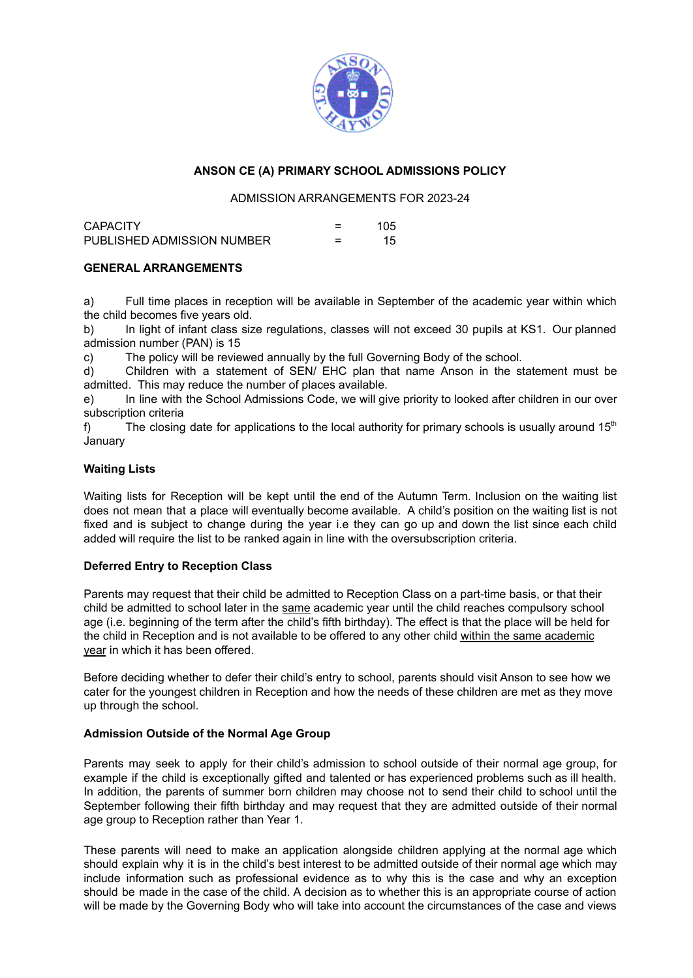

### **ANSON CE (A) PRIMARY SCHOOL ADMISSIONS POLICY**

#### ADMISSION ARRANGEMENTS FOR 2023-24

| <b>CAPACITY</b>            | 105 |
|----------------------------|-----|
| PUBLISHED ADMISSION NUMBER | 15  |

#### **GENERAL ARRANGEMENTS**

a) Full time places in reception will be available in September of the academic year within which the child becomes five years old.

b) In light of infant class size regulations, classes will not exceed 30 pupils at KS1. Our planned admission number (PAN) is 15

c) The policy will be reviewed annually by the full Governing Body of the school.

d) Children with a statement of SEN/ EHC plan that name Anson in the statement must be admitted. This may reduce the number of places available.

e) In line with the School Admissions Code, we will give priority to looked after children in our over subscription criteria

f) The closing date for applications to the local authority for primary schools is usually around 15<sup>th</sup> January

#### **Waiting Lists**

Waiting lists for Reception will be kept until the end of the Autumn Term. Inclusion on the waiting list does not mean that a place will eventually become available. A child's position on the waiting list is not fixed and is subject to change during the year i.e they can go up and down the list since each child added will require the list to be ranked again in line with the oversubscription criteria.

#### **Deferred Entry to Reception Class**

Parents may request that their child be admitted to Reception Class on a part-time basis, or that their child be admitted to school later in the same academic year until the child reaches compulsory school age (i.e. beginning of the term after the child's fifth birthday). The effect is that the place will be held for the child in Reception and is not available to be offered to any other child within the same academic year in which it has been offered.

Before deciding whether to defer their child's entry to school, parents should visit Anson to see how we cater for the youngest children in Reception and how the needs of these children are met as they move up through the school.

#### **Admission Outside of the Normal Age Group**

Parents may seek to apply for their child's admission to school outside of their normal age group, for example if the child is exceptionally gifted and talented or has experienced problems such as ill health. In addition, the parents of summer born children may choose not to send their child to school until the September following their fifth birthday and may request that they are admitted outside of their normal age group to Reception rather than Year 1.

These parents will need to make an application alongside children applying at the normal age which should explain why it is in the child's best interest to be admitted outside of their normal age which may include information such as professional evidence as to why this is the case and why an exception should be made in the case of the child. A decision as to whether this is an appropriate course of action will be made by the Governing Body who will take into account the circumstances of the case and views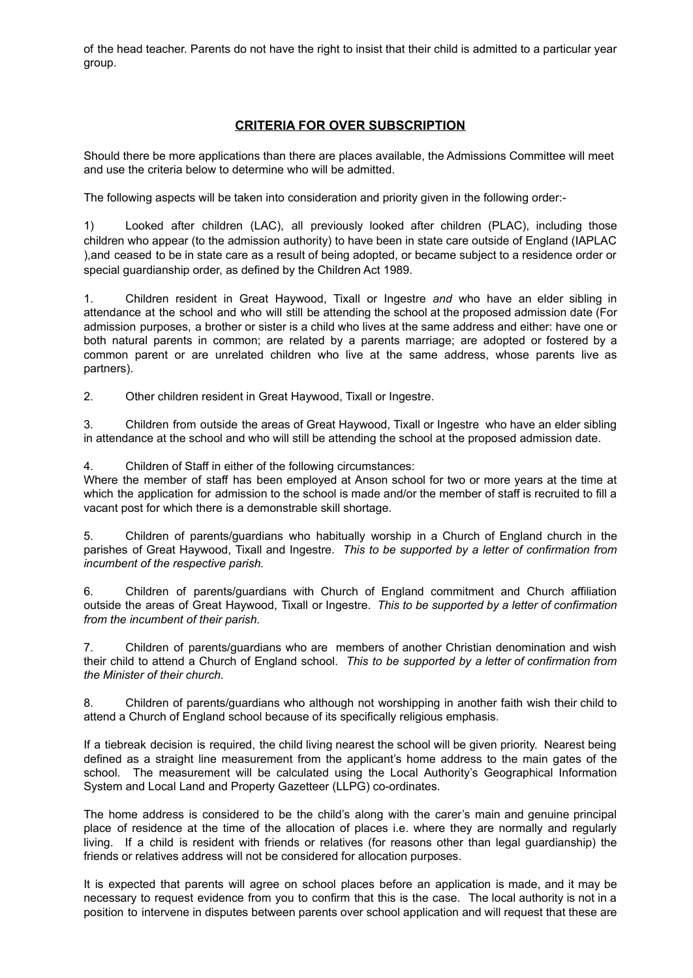of the head teacher. Parents do not have the right to insist that their child is admitted to a particular year group.

## **CRITERIA FOR OVER SUBSCRIPTION**

Should there be more applications than there are places available, the Admissions Committee will meet and use the criteria below to determine who will be admitted.

The following aspects will be taken into consideration and priority given in the following order:-

1) Looked after children (LAC), all previously looked after children (PLAC), including those children who appear (to the admission authority) to have been in state care outside of England (IAPLAC ),and ceased to be in state care as a result of being adopted, or became subject to a residence order or special guardianship order, as defined by the Children Act 1989.

1. Children resident in Great Haywood, Tixall or Ingestre *and* who have an elder sibling in attendance at the school and who will still be attending the school at the proposed admission date (For admission purposes, a brother or sister is a child who lives at the same address and either: have one or both natural parents in common; are related by a parents marriage; are adopted or fostered by a common parent or are unrelated children who live at the same address, whose parents live as partners).

2. Other children resident in Great Haywood, Tixall or Ingestre.

3. Children from outside the areas of Great Haywood, Tixall or Ingestre who have an elder sibling in attendance at the school and who will still be attending the school at the proposed admission date.

4. Children of Staff in either of the following circumstances:

Where the member of staff has been employed at Anson school for two or more years at the time at which the application for admission to the school is made and/or the member of staff is recruited to fill a vacant post for which there is a demonstrable skill shortage.

5. Children of parents/guardians who habitually worship in a Church of England church in the parishes of Great Haywood, Tixall and Ingestre. *This to be supported by a letter of confirmation from incumbent of the respective parish.*

6. Children of parents/guardians with Church of England commitment and Church affiliation outside the areas of Great Haywood, Tixall or Ingestre. *This to be supported by a letter of confirmation from the incumbent of their parish.*

7. Children of parents/guardians who are members of another Christian denomination and wish their child to attend a Church of England school. *This to be supported by a letter of confirmation from the Minister of their church.*

8. Children of parents/guardians who although not worshipping in another faith wish their child to attend a Church of England school because of its specifically religious emphasis.

If a tiebreak decision is required, the child living nearest the school will be given priority. Nearest being defined as a straight line measurement from the applicant's home address to the main gates of the school. The measurement will be calculated using the Local Authority's Geographical Information System and Local Land and Property Gazetteer (LLPG) co-ordinates.

The home address is considered to be the child's along with the carer's main and genuine principal place of residence at the time of the allocation of places i.e. where they are normally and regularly living. If a child is resident with friends or relatives (for reasons other than legal guardianship) the friends or relatives address will not be considered for allocation purposes.

It is expected that parents will agree on school places before an application is made, and it may be necessary to request evidence from you to confirm that this is the case. The local authority is not in a position to intervene in disputes between parents over school application and will request that these are